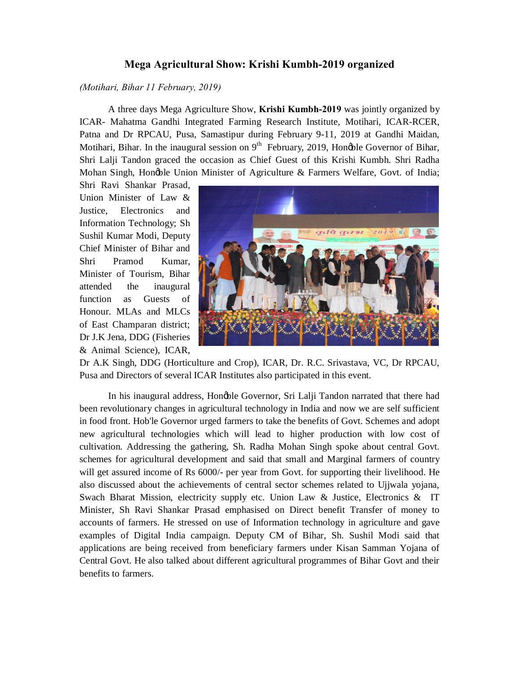## **Mega Agricultural Show: Krishi Kumbh-2019 organized**

*(Motihari, Bihar 11 February, 2019)*

A three days Mega Agriculture Show, **Krishi Kumbh-2019** was jointly organized by ICAR- Mahatma Gandhi Integrated Farming Research Institute, Motihari, ICAR-RCER, Patna and Dr RPCAU, Pusa, Samastipur during February 9-11, 2019 at Gandhi Maidan, Motihari, Bihar. In the inaugural session on  $9<sup>th</sup>$  February, 2019, Hongble Governor of Bihar, Shri Lalji Tandon graced the occasion as Chief Guest of this Krishi Kumbh. Shri Radha Mohan Singh, Honøble Union Minister of Agriculture & Farmers Welfare, Govt. of India;

Shri Ravi Shankar Prasad, Union Minister of Law & Justice, Electronics and Information Technology; Sh Sushil Kumar Modi, Deputy Chief Minister of Bihar and Shri Pramod Kumar, Minister of Tourism, Bihar attended the inaugural function as Guests of Honour. MLAs and MLCs of East Champaran district; Dr J.K Jena, DDG (Fisheries & Animal Science), ICAR,



Dr A.K Singh, DDG (Horticulture and Crop), ICAR, Dr. R.C. Srivastava, VC, Dr RPCAU, Pusa and Directors of several ICAR Institutes also participated in this event.

In his inaugural address, Hongble Governor, Sri Lalji Tandon narrated that there had been revolutionary changes in agricultural technology in India and now we are self sufficient in food front. Hob'le Governor urged farmers to take the benefits of Govt. Schemes and adopt new agricultural technologies which will lead to higher production with low cost of cultivation. Addressing the gathering, Sh. Radha Mohan Singh spoke about central Govt. schemes for agricultural development and said that small and Marginal farmers of country will get assured income of Rs 6000/- per year from Govt. for supporting their livelihood. He also discussed about the achievements of central sector schemes related to Ujjwala yojana, Swach Bharat Mission, electricity supply etc. Union Law  $\&$  Justice, Electronics  $\&$  IT Minister, Sh Ravi Shankar Prasad emphasised on Direct benefit Transfer of money to accounts of farmers. He stressed on use of Information technology in agriculture and gave examples of Digital India campaign. Deputy CM of Bihar, Sh. Sushil Modi said that applications are being received from beneficiary farmers under Kisan Samman Yojana of Central Govt. He also talked about different agricultural programmes of Bihar Govt and their benefits to farmers.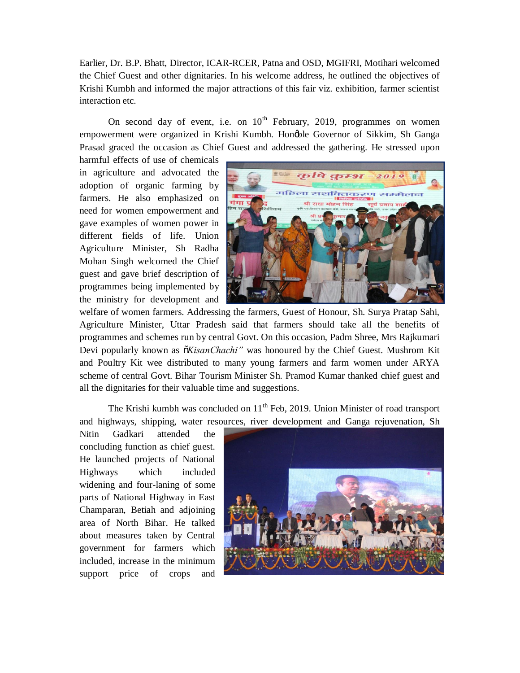Earlier, Dr. B.P. Bhatt, Director, ICAR-RCER, Patna and OSD, MGIFRI, Motihari welcomed the Chief Guest and other dignitaries. In his welcome address, he outlined the objectives of Krishi Kumbh and informed the major attractions of this fair viz. exhibition, farmer scientist interaction etc.

On second day of event, i.e. on  $10^{th}$  February, 2019, programmes on women empowerment were organized in Krishi Kumbh. Hongble Governor of Sikkim, Sh Ganga Prasad graced the occasion as Chief Guest and addressed the gathering. He stressed upon

harmful effects of use of chemicals in agriculture and advocated the adoption of organic farming by farmers. He also emphasized on need for women empowerment and gave examples of women power in different fields of life. Union Agriculture Minister, Sh Radha Mohan Singh welcomed the Chief guest and gave brief description of programmes being implemented by the ministry for development and



welfare of women farmers. Addressing the farmers, Guest of Honour, Sh. Surya Pratap Sahi, Agriculture Minister, Uttar Pradesh said that farmers should take all the benefits of programmes and schemes run by central Govt. On this occasion, Padm Shree, Mrs Rajkumari Devi popularly known as  $\tilde{o}$ *KisanChachi*" was honoured by the Chief Guest. Mushrom Kit and Poultry Kit wee distributed to many young farmers and farm women under ARYA scheme of central Govt. Bihar Tourism Minister Sh. Pramod Kumar thanked chief guest and all the dignitaries for their valuable time and suggestions.

The Krishi kumbh was concluded on  $11<sup>th</sup>$  Feb, 2019. Union Minister of road transport and highways, shipping, water resources, river development and Ganga rejuvenation, Sh

Nitin Gadkari attended the concluding function as chief guest. He launched projects of National Highways which included widening and four-laning of some parts of National Highway in East Champaran, Betiah and adjoining area of North Bihar. He talked about measures taken by Central government for farmers which included, increase in the minimum support price of crops and